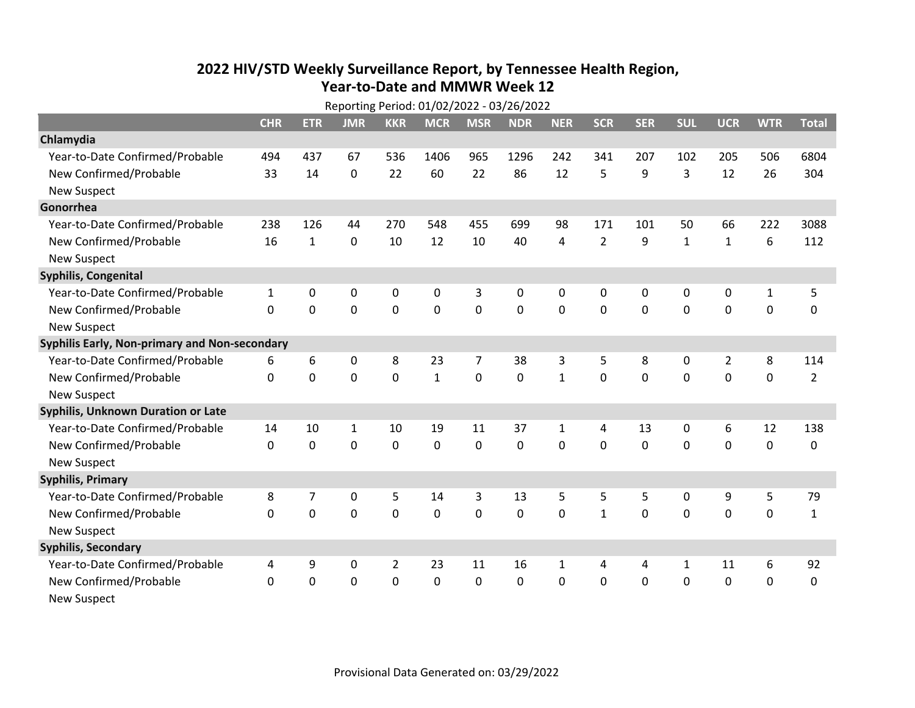## **2022 HIV /STD Weekl y Surveillance Report, b y Tennessee Health Region, Year‐to‐Date and MMWR Week 12**

| Reporting Period: 01/02/2022 - 03/26/2022     |              |              |              |                |              |                |            |              |                |              |              |                |              |                |
|-----------------------------------------------|--------------|--------------|--------------|----------------|--------------|----------------|------------|--------------|----------------|--------------|--------------|----------------|--------------|----------------|
|                                               | <b>CHR</b>   | <b>ETR</b>   | <b>JMR</b>   | <b>KKR</b>     | <b>MCR</b>   | <b>MSR</b>     | <b>NDR</b> | <b>NER</b>   | <b>SCR</b>     | <b>SER</b>   | <b>SUL</b>   | <b>UCR</b>     | <b>WTR</b>   | <b>Total</b>   |
| Chlamydia                                     |              |              |              |                |              |                |            |              |                |              |              |                |              |                |
| Year-to-Date Confirmed/Probable               | 494          | 437          | 67           | 536            | 1406         | 965            | 1296       | 242          | 341            | 207          | 102          | 205            | 506          | 6804           |
| New Confirmed/Probable                        | 33           | 14           | $\mathbf{0}$ | 22             | 60           | 22             | 86         | 12           | 5              | 9            | 3            | 12             | 26           | 304            |
| <b>New Suspect</b>                            |              |              |              |                |              |                |            |              |                |              |              |                |              |                |
| Gonorrhea                                     |              |              |              |                |              |                |            |              |                |              |              |                |              |                |
| Year-to-Date Confirmed/Probable               | 238          | 126          | 44           | 270            | 548          | 455            | 699        | 98           | 171            | 101          | 50           | 66             | 222          | 3088           |
| New Confirmed/Probable                        | 16           | $\mathbf{1}$ | $\mathbf 0$  | 10             | 12           | 10             | 40         | 4            | $\overline{2}$ | 9            | $\mathbf{1}$ | $\mathbf{1}$   | 6            | 112            |
| <b>New Suspect</b>                            |              |              |              |                |              |                |            |              |                |              |              |                |              |                |
| Syphilis, Congenital                          |              |              |              |                |              |                |            |              |                |              |              |                |              |                |
| Year-to-Date Confirmed/Probable               | $\mathbf{1}$ | 0            | 0            | 0              | 0            | 3              | 0          | $\Omega$     | 0              | $\mathbf{0}$ | $\mathbf{0}$ | 0              | $\mathbf{1}$ | 5              |
| New Confirmed/Probable                        | 0            | $\mathbf 0$  | 0            | 0              | $\mathbf 0$  | $\overline{0}$ | 0          | $\Omega$     | $\Omega$       | 0            | 0            | $\mathbf 0$    | $\mathbf 0$  | 0              |
| <b>New Suspect</b>                            |              |              |              |                |              |                |            |              |                |              |              |                |              |                |
| Syphilis Early, Non-primary and Non-secondary |              |              |              |                |              |                |            |              |                |              |              |                |              |                |
| Year-to-Date Confirmed/Probable               | 6            | 6            | 0            | 8              | 23           | $\overline{7}$ | 38         | 3            | 5              | 8            | 0            | $\overline{2}$ | 8            | 114            |
| New Confirmed/Probable                        | $\mathbf{0}$ | $\mathbf 0$  | $\mathbf 0$  | $\overline{0}$ | $\mathbf{1}$ | 0              | 0          | $\mathbf{1}$ | $\Omega$       | $\mathbf 0$  | 0            | $\mathbf 0$    | 0            | $\overline{2}$ |
| <b>New Suspect</b>                            |              |              |              |                |              |                |            |              |                |              |              |                |              |                |
| <b>Syphilis, Unknown Duration or Late</b>     |              |              |              |                |              |                |            |              |                |              |              |                |              |                |
| Year-to-Date Confirmed/Probable               | 14           | 10           | 1            | 10             | 19           | 11             | 37         | 1            | 4              | 13           | 0            | 6              | 12           | 138            |
| New Confirmed/Probable                        | $\Omega$     | $\mathbf{0}$ | $\mathbf{0}$ | 0              | 0            | $\Omega$       | 0          | $\Omega$     | $\Omega$       | $\mathbf{0}$ | $\mathbf{0}$ | 0              | $\mathbf 0$  | 0              |
| <b>New Suspect</b>                            |              |              |              |                |              |                |            |              |                |              |              |                |              |                |
| <b>Syphilis, Primary</b>                      |              |              |              |                |              |                |            |              |                |              |              |                |              |                |
| Year-to-Date Confirmed/Probable               | 8            | 7            | $\mathbf 0$  | 5              | 14           | 3              | 13         | 5            | 5              | 5            | 0            | 9              | 5            | 79             |
| New Confirmed/Probable                        | $\Omega$     | 0            | 0            | 0              | $\mathbf 0$  | 0              | 0          | 0            | $\mathbf{1}$   | 0            | 0            | 0              | $\mathbf 0$  | $\mathbf{1}$   |
| <b>New Suspect</b>                            |              |              |              |                |              |                |            |              |                |              |              |                |              |                |
| <b>Syphilis, Secondary</b>                    |              |              |              |                |              |                |            |              |                |              |              |                |              |                |
| Year-to-Date Confirmed/Probable               | 4            | 9            | $\mathbf 0$  | $\overline{2}$ | 23           | 11             | 16         | 1            | 4              | 4            | 1            | 11             | 6            | 92             |
| New Confirmed/Probable                        | 0            | 0            | 0            | 0              | 0            | 0              | 0          | $\Omega$     | 0              | 0            | 0            | 0              | 0            | 0              |
| <b>New Suspect</b>                            |              |              |              |                |              |                |            |              |                |              |              |                |              |                |